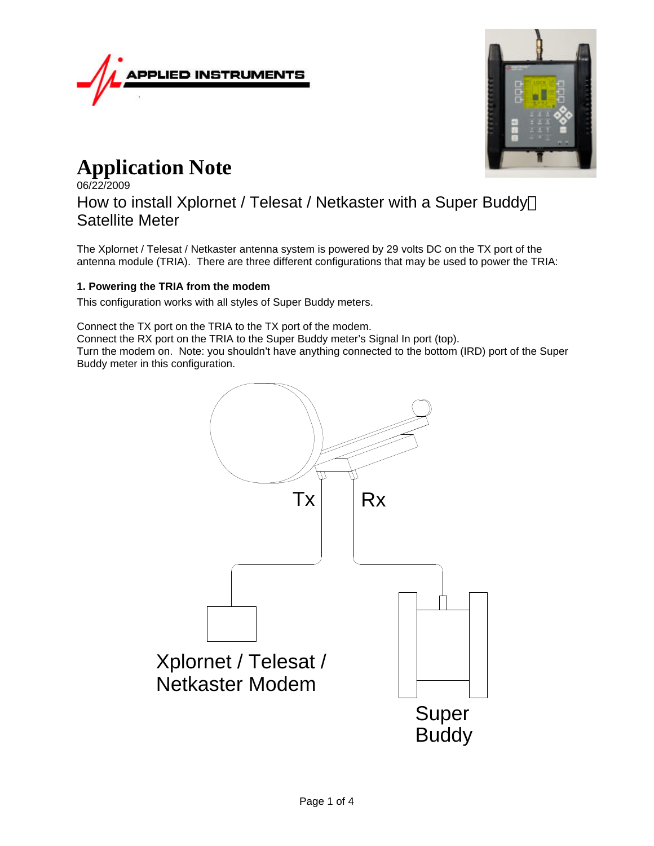



# **Application Note**

06/22/2009 How to install Xplornet / Telesat / Netkaster with a Super Buddy<sup>™</sup> Satellite Meter

The Xplornet / Telesat / Netkaster antenna system is powered by 29 volts DC on the TX port of the antenna module (TRIA). There are three different configurations that may be used to power the TRIA:

# **1. Powering the TRIA from the modem**

This configuration works with all styles of Super Buddy meters.

Connect the TX port on the TRIA to the TX port of the modem.

Connect the RX port on the TRIA to the Super Buddy meter's Signal In port (top). Turn the modem on. Note: you shouldn't have anything connected to the bottom (IRD) port of the Super

Buddy meter in this configuration.

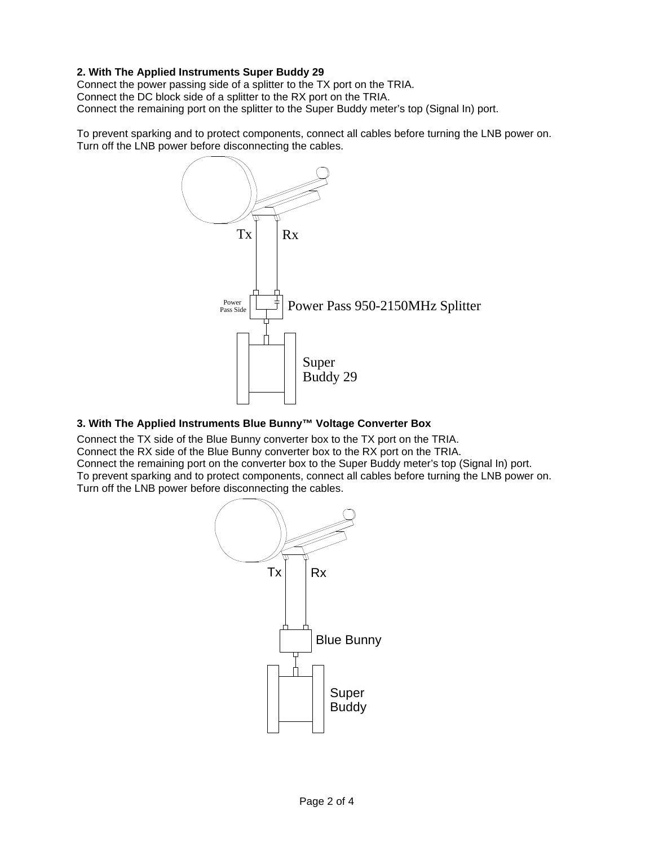## **2. With The Applied Instruments Super Buddy 29**

Connect the power passing side of a splitter to the TX port on the TRIA. Connect the DC block side of a splitter to the RX port on the TRIA. Connect the remaining port on the splitter to the Super Buddy meter's top (Signal In) port.

To prevent sparking and to protect components, connect all cables before turning the LNB power on. Turn off the LNB power before disconnecting the cables.



# **3. With The Applied Instruments Blue Bunny™ Voltage Converter Box**

Connect the TX side of the Blue Bunny converter box to the TX port on the TRIA. Connect the RX side of the Blue Bunny converter box to the RX port on the TRIA. Connect the remaining port on the converter box to the Super Buddy meter's top (Signal In) port. To prevent sparking and to protect components, connect all cables before turning the LNB power on. Turn off the LNB power before disconnecting the cables.

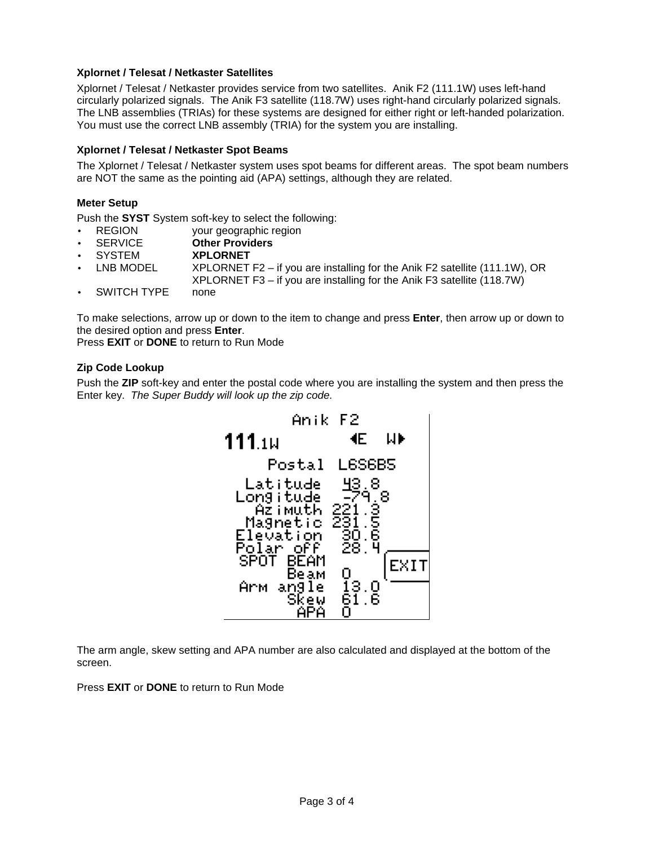## **Xplornet / Telesat / Netkaster Satellites**

Xplornet / Telesat / Netkaster provides service from two satellites. Anik F2 (111.1W) uses left-hand circularly polarized signals. The Anik F3 satellite (118.7W) uses right-hand circularly polarized signals. The LNB assemblies (TRIAs) for these systems are designed for either right or left-handed polarization. You must use the correct LNB assembly (TRIA) for the system you are installing.

## **Xplornet / Telesat / Netkaster Spot Beams**

The Xplornet / Telesat / Netkaster system uses spot beams for different areas. The spot beam numbers are NOT the same as the pointing aid (APA) settings, although they are related.

## **Meter Setup**

Push the **SYST** System soft-key to select the following:

- REGION vour geographic region
- SERVICE **Other Providers**
- SYSTEM **XPLORNET**
- LNB MODEL  $XPLORNET F2 if you are installing for the Anik F2 satellite (111.1W), OR$
- XPLORNET F3 if you are installing for the Anik F3 satellite (118.7W)
- SWITCH TYPE none

To make selections, arrow up or down to the item to change and press **Enter**, then arrow up or down to the desired option and press **Enter**.

Press **EXIT** or **DONE** to return to Run Mode

## **Zip Code Lookup**

Push the **ZIP** soft-key and enter the postal code where you are installing the system and then press the Enter key. *The Super Buddy will look up the zip code.*



The arm angle, skew setting and APA number are also calculated and displayed at the bottom of the screen.

Press **EXIT** or **DONE** to return to Run Mode